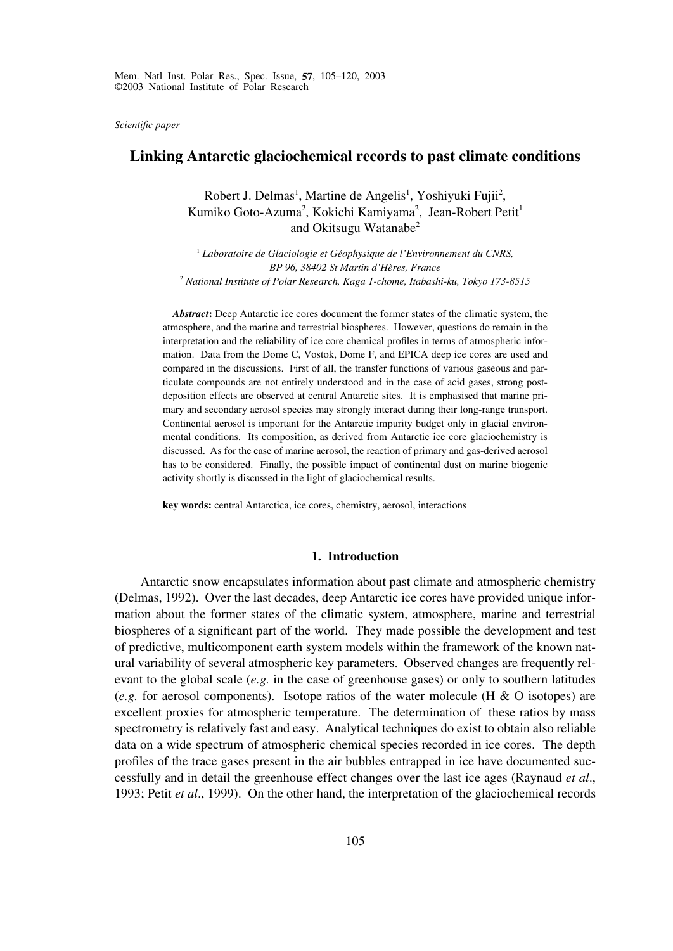*Scientific paper*

# **Linking Antarctic glaciochemical records to past climate conditions**

Robert J. Delmas<sup>1</sup>, Martine de Angelis<sup>1</sup>, Yoshiyuki Fujii<sup>2</sup>, Kumiko Goto-Azuma<sup>2</sup>, Kokichi Kamiyama<sup>2</sup>, Jean-Robert Petit<sup>1</sup> and Okitsugu Watanabe<sup>2</sup>

<sup>1</sup> *Laboratoire de Glaciologie et Géophysique de l'Environnement du CNRS, BP 96, 38402 St Martin d'Hères, France* <sup>2</sup> *National Institute of Polar Research, Kaga 1-chome, Itabashi-ku, Tokyo 173-8515*

*Abstract***:** Deep Antarctic ice cores document the former states of the climatic system, the atmosphere, and the marine and terrestrial biospheres. However, questions do remain in the interpretation and the reliability of ice core chemical profiles in terms of atmospheric information. Data from the Dome C, Vostok, Dome F, and EPICA deep ice cores are used and compared in the discussions. First of all, the transfer functions of various gaseous and particulate compounds are not entirely understood and in the case of acid gases, strong postdeposition effects are observed at central Antarctic sites. It is emphasised that marine primary and secondary aerosol species may strongly interact during their long-range transport. Continental aerosol is important for the Antarctic impurity budget only in glacial environmental conditions. Its composition, as derived from Antarctic ice core glaciochemistry is discussed. As for the case of marine aerosol, the reaction of primary and gas-derived aerosol has to be considered. Finally, the possible impact of continental dust on marine biogenic activity shortly is discussed in the light of glaciochemical results.

**key words:** central Antarctica, ice cores, chemistry, aerosol, interactions

## **1. Introduction**

Antarctic snow encapsulates information about past climate and atmospheric chemistry (Delmas, 1992). Over the last decades, deep Antarctic ice cores have provided unique information about the former states of the climatic system, atmosphere, marine and terrestrial biospheres of a significant part of the world. They made possible the development and test of predictive, multicomponent earth system models within the framework of the known natural variability of several atmospheric key parameters. Observed changes are frequently relevant to the global scale (*e.g.* in the case of greenhouse gases) or only to southern latitudes (*e.g.* for aerosol components). Isotope ratios of the water molecule (H & O isotopes) are excellent proxies for atmospheric temperature. The determination of these ratios by mass spectrometry is relatively fast and easy. Analytical techniques do exist to obtain also reliable data on a wide spectrum of atmospheric chemical species recorded in ice cores. The depth profiles of the trace gases present in the air bubbles entrapped in ice have documented successfully and in detail the greenhouse effect changes over the last ice ages (Raynaud *et al*., 1993; Petit *et al*., 1999). On the other hand, the interpretation of the glaciochemical records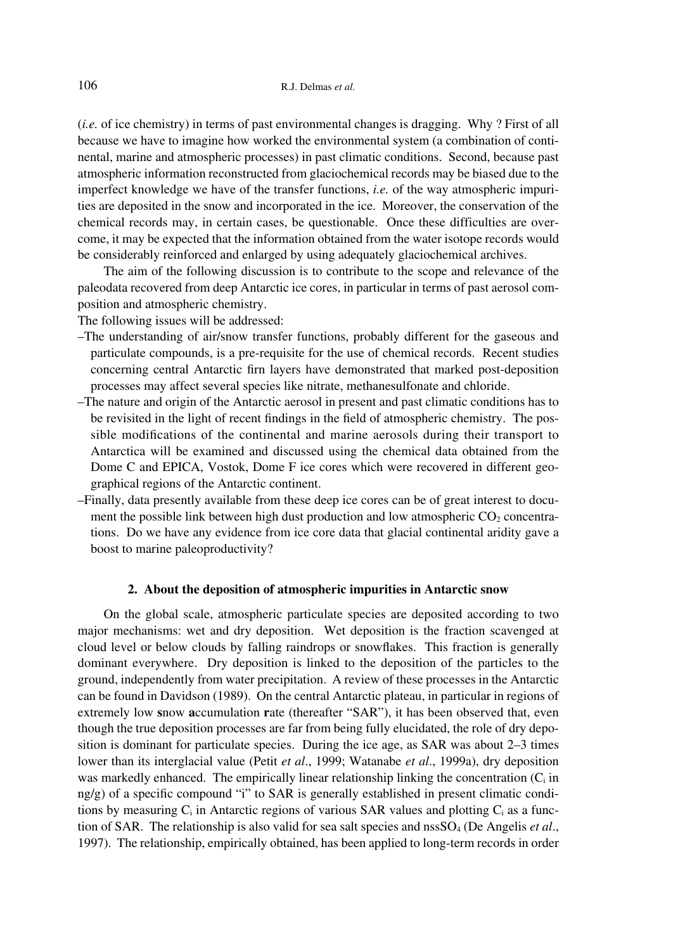(*i.e.* of ice chemistry) in terms of past environmental changes is dragging. Why ? First of all because we have to imagine how worked the environmental system (a combination of continental, marine and atmospheric processes) in past climatic conditions. Second, because past atmospheric information reconstructed from glaciochemical records may be biased due to the imperfect knowledge we have of the transfer functions, *i.e.* of the way atmospheric impurities are deposited in the snow and incorporated in the ice. Moreover, the conservation of the chemical records may, in certain cases, be questionable. Once these difficulties are overcome, it may be expected that the information obtained from the water isotope records would be considerably reinforced and enlarged by using adequately glaciochemical archives.

The aim of the following discussion is to contribute to the scope and relevance of the paleodata recovered from deep Antarctic ice cores, in particular in terms of past aerosol composition and atmospheric chemistry.

The following issues will be addressed:

- –The understanding of air/snow transfer functions, probably different for the gaseous and particulate compounds, is a pre-requisite for the use of chemical records. Recent studies concerning central Antarctic firn layers have demonstrated that marked post-deposition processes may affect several species like nitrate, methanesulfonate and chloride.
- –The nature and origin of the Antarctic aerosol in present and past climatic conditions has to be revisited in the light of recent findings in the field of atmospheric chemistry. The possible modifications of the continental and marine aerosols during their transport to Antarctica will be examined and discussed using the chemical data obtained from the Dome C and EPICA, Vostok, Dome F ice cores which were recovered in different geographical regions of the Antarctic continent.
- –Finally, data presently available from these deep ice cores can be of great interest to document the possible link between high dust production and low atmospheric  $CO<sub>2</sub>$  concentrations. Do we have any evidence from ice core data that glacial continental aridity gave a boost to marine paleoproductivity?

## **2. About the deposition of atmospheric impurities in Antarctic snow**

On the global scale, atmospheric particulate species are deposited according to two major mechanisms: wet and dry deposition. Wet deposition is the fraction scavenged at cloud level or below clouds by falling raindrops or snowflakes. This fraction is generally dominant everywhere. Dry deposition is linked to the deposition of the particles to the ground, independently from water precipitation. A review of these processes in the Antarctic can be found in Davidson (1989). On the central Antarctic plateau, in particular in regions of extremely low **s**now **a**ccumulation **r**ate (thereafter "SAR"), it has been observed that, even though the true deposition processes are far from being fully elucidated, the role of dry deposition is dominant for particulate species. During the ice age, as SAR was about 2–3 times lower than its interglacial value (Petit *et al*., 1999; Watanabe *et al*., 1999a), dry deposition was markedly enhanced. The empirically linear relationship linking the concentration  $(C_i$  in  $ng/g$ ) of a specific compound "i" to SAR is generally established in present climatic conditions by measuring  $C_i$  in Antarctic regions of various SAR values and plotting  $C_i$  as a function of SAR. The relationship is also valid for sea salt species and nssSO<sub>4</sub> (De Angelis *et al.*, 1997). The relationship, empirically obtained, has been applied to long-term records in order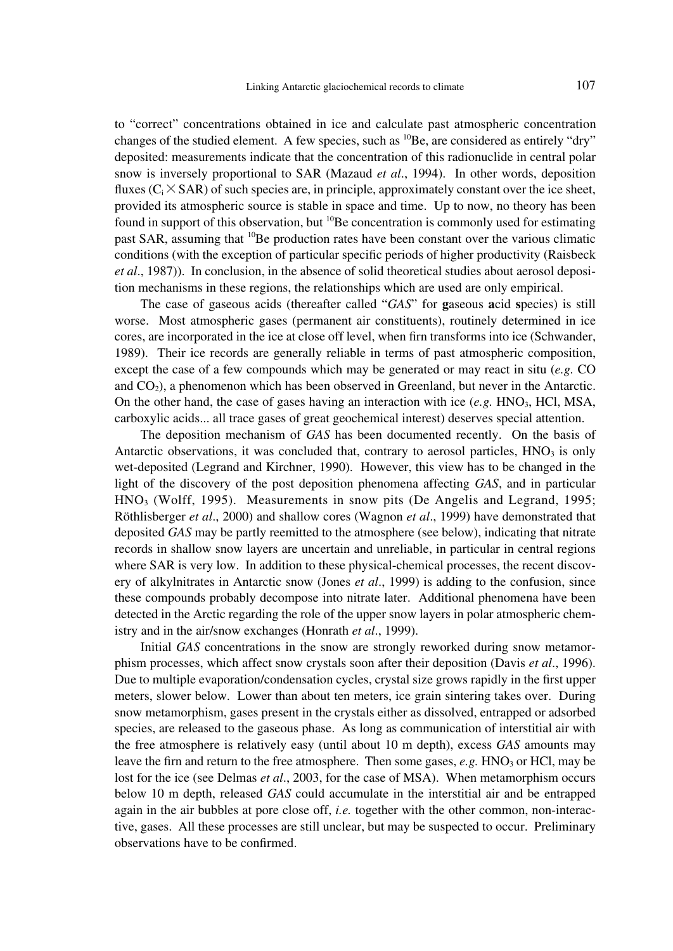to "correct" concentrations obtained in ice and calculate past atmospheric concentration changes of the studied element. A few species, such as  ${}^{10}Be$ , are considered as entirely "dry" deposited: measurements indicate that the concentration of this radionuclide in central polar snow is inversely proportional to SAR (Mazaud *et al*., 1994). In other words, deposition fluxes  $(C_i \times \text{SAR})$  of such species are, in principle, approximately constant over the ice sheet, provided its atmospheric source is stable in space and time. Up to now, no theory has been found in support of this observation, but  ${}^{10}$ Be concentration is commonly used for estimating past SAR, assuming that  ${}^{10}$ Be production rates have been constant over the various climatic conditions (with the exception of particular specific periods of higher productivity (Raisbeck *et al*., 1987)). In conclusion, in the absence of solid theoretical studies about aerosol deposition mechanisms in these regions, the relationships which are used are only empirical.

The case of gaseous acids (thereafter called "*GAS*" for **g**aseous **a**cid **s**pecies) is still worse. Most atmospheric gases (permanent air constituents), routinely determined in ice cores, are incorporated in the ice at close off level, when firn transforms into ice (Schwander, 1989). Their ice records are generally reliable in terms of past atmospheric composition, except the case of a few compounds which may be generated or may react in situ (*e.g.* CO and  $CO<sub>2</sub>$ ), a phenomenon which has been observed in Greenland, but never in the Antarctic. On the other hand, the case of gases having an interaction with ice  $(e.g. \text{ HNO}_3, \text{ HCl}, \text{MSA},$ carboxylic acids... all trace gases of great geochemical interest) deserves special attention.

The deposition mechanism of *GAS* has been documented recently. On the basis of Antarctic observations, it was concluded that, contrary to aerosol particles,  $HNO<sub>3</sub>$  is only wet-deposited (Legrand and Kirchner, 1990). However, this view has to be changed in the light of the discovery of the post deposition phenomena affecting *GAS*, and in particular  $HNO<sub>3</sub>$  (Wolff, 1995). Measurements in snow pits (De Angelis and Legrand, 1995; Röthlisberger *et al*., 2000) and shallow cores (Wagnon *et al*., 1999) have demonstrated that deposited *GAS* may be partly reemitted to the atmosphere (see below), indicating that nitrate records in shallow snow layers are uncertain and unreliable, in particular in central regions where SAR is very low. In addition to these physical-chemical processes, the recent discovery of alkylnitrates in Antarctic snow (Jones *et al*., 1999) is adding to the confusion, since these compounds probably decompose into nitrate later. Additional phenomena have been detected in the Arctic regarding the role of the upper snow layers in polar atmospheric chemistry and in the air/snow exchanges (Honrath *et al*., 1999).

Initial *GAS* concentrations in the snow are strongly reworked during snow metamorphism processes, which affect snow crystals soon after their deposition (Davis *et al*., 1996). Due to multiple evaporation/condensation cycles, crystal size grows rapidly in the first upper meters, slower below. Lower than about ten meters, ice grain sintering takes over. During snow metamorphism, gases present in the crystals either as dissolved, entrapped or adsorbed species, are released to the gaseous phase. As long as communication of interstitial air with the free atmosphere is relatively easy (until about 10 m depth), excess *GAS* amounts may leave the firn and return to the free atmosphere. Then some gases,  $e.g.$  HNO<sub>3</sub> or HCl, may be lost for the ice (see Delmas *et al*., 2003, for the case of MSA). When metamorphism occurs below 10 m depth, released *GAS* could accumulate in the interstitial air and be entrapped again in the air bubbles at pore close off, *i.e.* together with the other common, non-interactive, gases. All these processes are still unclear, but may be suspected to occur. Preliminary observations have to be confirmed.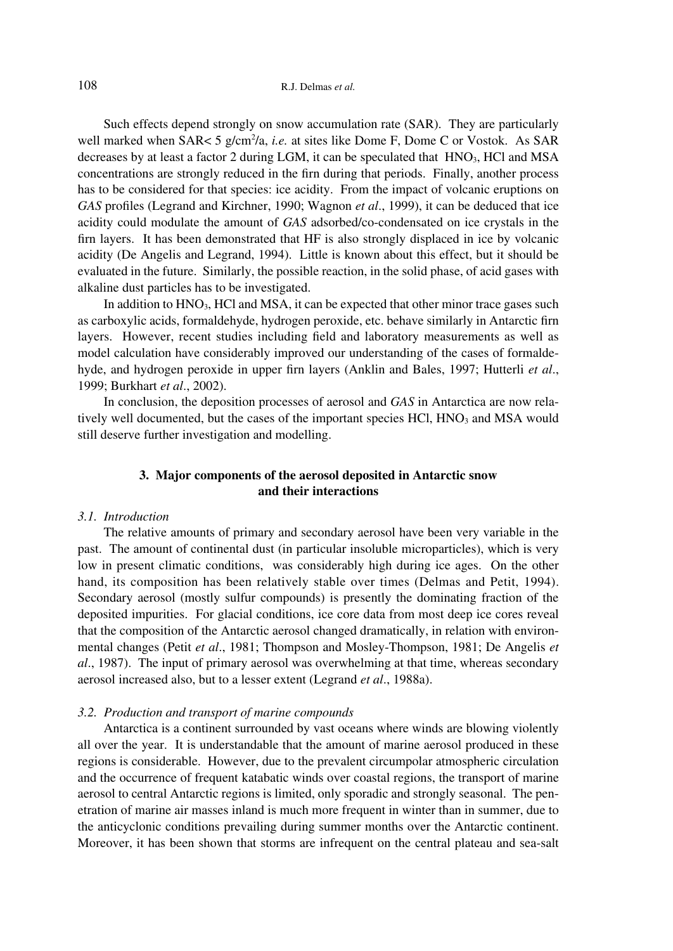Such effects depend strongly on snow accumulation rate (SAR). They are particularly well marked when SAR< 5 g/cm<sup>2</sup>/a, *i.e.* at sites like Dome F, Dome C or Vostok. As SAR decreases by at least a factor 2 during LGM, it can be speculated that  $HNO<sub>3</sub>$ , HCl and MSA concentrations are strongly reduced in the firn during that periods. Finally, another process has to be considered for that species: ice acidity. From the impact of volcanic eruptions on *GAS* profiles (Legrand and Kirchner, 1990; Wagnon *et al*., 1999), it can be deduced that ice acidity could modulate the amount of *GAS* adsorbed/co-condensated on ice crystals in the firn layers. It has been demonstrated that HF is also strongly displaced in ice by volcanic acidity (De Angelis and Legrand, 1994). Little is known about this effect, but it should be evaluated in the future. Similarly, the possible reaction, in the solid phase, of acid gases with alkaline dust particles has to be investigated.

In addition to  $HNO<sub>3</sub>$ , HCl and MSA, it can be expected that other minor trace gases such as carboxylic acids, formaldehyde, hydrogen peroxide, etc. behave similarly in Antarctic firn layers. However, recent studies including field and laboratory measurements as well as model calculation have considerably improved our understanding of the cases of formaldehyde, and hydrogen peroxide in upper firn layers (Anklin and Bales, 1997; Hutterli *et al*., 1999; Burkhart *et al*., 2002).

In conclusion, the deposition processes of aerosol and *GAS* in Antarctica are now relatively well documented, but the cases of the important species  $HCl$ ,  $HNO<sub>3</sub>$  and MSA would still deserve further investigation and modelling.

## **3. Major components of the aerosol deposited in Antarctic snow and their interactions**

## *3.1. Introduction*

The relative amounts of primary and secondary aerosol have been very variable in the past. The amount of continental dust (in particular insoluble microparticles), which is very low in present climatic conditions, was considerably high during ice ages. On the other hand, its composition has been relatively stable over times (Delmas and Petit, 1994). Secondary aerosol (mostly sulfur compounds) is presently the dominating fraction of the deposited impurities. For glacial conditions, ice core data from most deep ice cores reveal that the composition of the Antarctic aerosol changed dramatically, in relation with environmental changes (Petit *et al*., 1981; Thompson and Mosley-Thompson, 1981; De Angelis *et al*., 1987). The input of primary aerosol was overwhelming at that time, whereas secondary aerosol increased also, but to a lesser extent (Legrand *et al*., 1988a).

## *3.2. Production and transport of marine compounds*

Antarctica is a continent surrounded by vast oceans where winds are blowing violently all over the year. It is understandable that the amount of marine aerosol produced in these regions is considerable. However, due to the prevalent circumpolar atmospheric circulation and the occurrence of frequent katabatic winds over coastal regions, the transport of marine aerosol to central Antarctic regions is limited, only sporadic and strongly seasonal. The penetration of marine air masses inland is much more frequent in winter than in summer, due to the anticyclonic conditions prevailing during summer months over the Antarctic continent. Moreover, it has been shown that storms are infrequent on the central plateau and sea-salt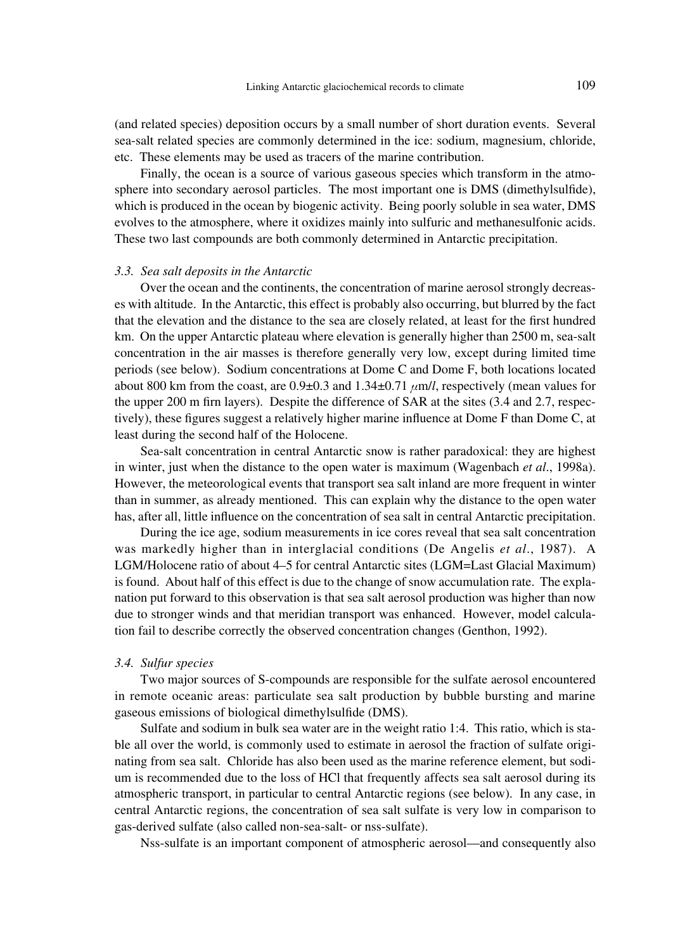(and related species) deposition occurs by a small number of short duration events. Several sea-salt related species are commonly determined in the ice: sodium, magnesium, chloride, etc. These elements may be used as tracers of the marine contribution.

Finally, the ocean is a source of various gaseous species which transform in the atmosphere into secondary aerosol particles. The most important one is DMS (dimethylsulfide), which is produced in the ocean by biogenic activity. Being poorly soluble in sea water, DMS evolves to the atmosphere, where it oxidizes mainly into sulfuric and methanesulfonic acids. These two last compounds are both commonly determined in Antarctic precipitation.

### *3.3. Sea salt deposits in the Antarctic*

Over the ocean and the continents, the concentration of marine aerosol strongly decreases with altitude. In the Antarctic, this effect is probably also occurring, but blurred by the fact that the elevation and the distance to the sea are closely related, at least for the first hundred km. On the upper Antarctic plateau where elevation is generally higher than 2500 m, sea-salt concentration in the air masses is therefore generally very low, except during limited time periods (see below). Sodium concentrations at Dome C and Dome F, both locations located about 800 km from the coast, are  $0.9\pm0.3$  and  $1.34\pm0.71$   $\mu$ m/*l*, respectively (mean values for the upper 200 m firm layers). Despite the difference of SAR at the sites  $(3.4 \text{ and } 2.7 \text{, respec-}$ tively), these figures suggest a relatively higher marine influence at Dome F than Dome C, at least during the second half of the Holocene.

Sea-salt concentration in central Antarctic snow is rather paradoxical: they are highest in winter, just when the distance to the open water is maximum (Wagenbach *et al*., 1998a). However, the meteorological events that transport sea salt inland are more frequent in winter than in summer, as already mentioned. This can explain why the distance to the open water has, after all, little influence on the concentration of sea salt in central Antarctic precipitation.

During the ice age, sodium measurements in ice cores reveal that sea salt concentration was markedly higher than in interglacial conditions (De Angelis *et al*., 1987). A LGM/Holocene ratio of about 4–5 for central Antarctic sites (LGM=Last Glacial Maximum) is found. About half of this effect is due to the change of snow accumulation rate. The explanation put forward to this observation is that sea salt aerosol production was higher than now due to stronger winds and that meridian transport was enhanced. However, model calculation fail to describe correctly the observed concentration changes (Genthon, 1992).

### *3.4. Sulfur species*

Two major sources of S-compounds are responsible for the sulfate aerosol encountered in remote oceanic areas: particulate sea salt production by bubble bursting and marine gaseous emissions of biological dimethylsulfide (DMS).

Sulfate and sodium in bulk sea water are in the weight ratio 1:4. This ratio, which is stable all over the world, is commonly used to estimate in aerosol the fraction of sulfate originating from sea salt. Chloride has also been used as the marine reference element, but sodium is recommended due to the loss of HCl that frequently affects sea salt aerosol during its atmospheric transport, in particular to central Antarctic regions (see below). In any case, in central Antarctic regions, the concentration of sea salt sulfate is very low in comparison to gas-derived sulfate (also called non-sea-salt- or nss-sulfate).

Nss-sulfate is an important component of atmospheric aerosol—and consequently also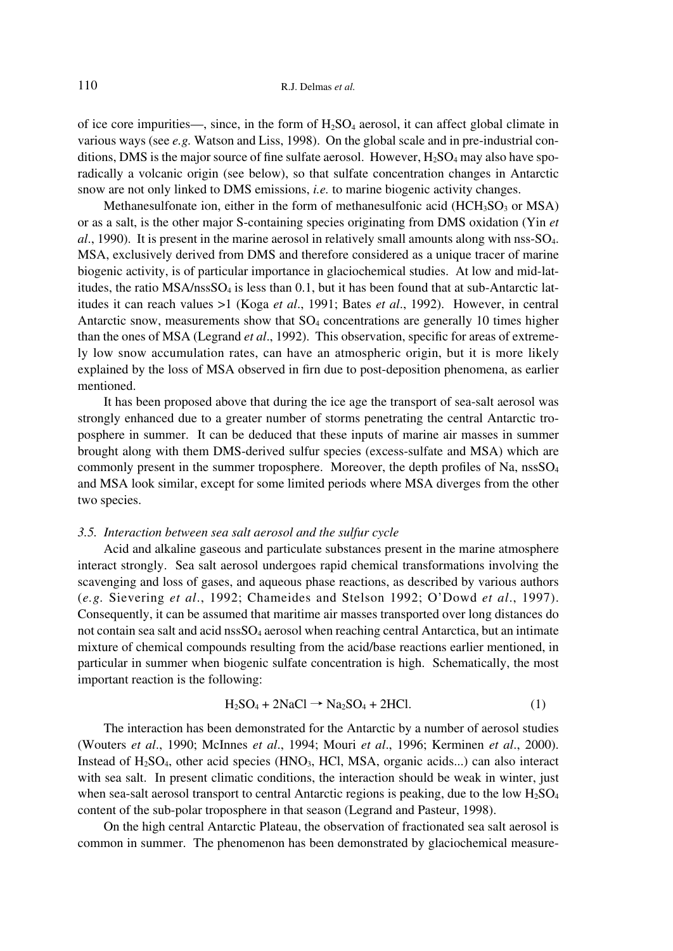of ice core impurities—, since, in the form of  $H_2SO_4$  aerosol, it can affect global climate in various ways (see *e.g.* Watson and Liss, 1998). On the global scale and in pre-industrial conditions, DMS is the major source of fine sulfate aerosol. However,  $H_2SO_4$  may also have sporadically a volcanic origin (see below), so that sulfate concentration changes in Antarctic snow are not only linked to DMS emissions, *i.e.* to marine biogenic activity changes.

Methanesulfonate ion, either in the form of methanesulfonic acid  $(HCH<sub>3</sub>SO<sub>3</sub>$  or MSA) or as a salt, is the other major S-containing species originating from DMS oxidation (Yin *et al*., 1990). It is present in the marine aerosol in relatively small amounts along with nss-SO4. MSA, exclusively derived from DMS and therefore considered as a unique tracer of marine biogenic activity, is of particular importance in glaciochemical studies. At low and mid-latitudes, the ratio  $MSA/nsSSO<sub>4</sub>$  is less than 0.1, but it has been found that at sub-Antarctic latitudes it can reach values >1 (Koga *et al*., 1991; Bates *et al*., 1992). However, in central Antarctic snow, measurements show that  $SO_4$  concentrations are generally 10 times higher than the ones of MSA (Legrand *et al*., 1992). This observation, specific for areas of extremely low snow accumulation rates, can have an atmospheric origin, but it is more likely explained by the loss of MSA observed in firn due to post-deposition phenomena, as earlier mentioned.

It has been proposed above that during the ice age the transport of sea-salt aerosol was strongly enhanced due to a greater number of storms penetrating the central Antarctic troposphere in summer. It can be deduced that these inputs of marine air masses in summer brought along with them DMS-derived sulfur species (excess-sulfate and MSA) which are commonly present in the summer troposphere. Moreover, the depth profiles of Na, nssSO<sub>4</sub> and MSA look similar, except for some limited periods where MSA diverges from the other two species.

## *3.5. Interaction between sea salt aerosol and the sulfur cycle*

Acid and alkaline gaseous and particulate substances present in the marine atmosphere interact strongly. Sea salt aerosol undergoes rapid chemical transformations involving the scavenging and loss of gases, and aqueous phase reactions, as described by various authors (*e.g.* Sievering *et al*., 1992; Chameides and Stelson 1992; O'Dowd *et al*., 1997). Consequently, it can be assumed that maritime air masses transported over long distances do not contain sea salt and acid nssSO<sub>4</sub> aerosol when reaching central Antarctica, but an intimate mixture of chemical compounds resulting from the acid/base reactions earlier mentioned, in particular in summer when biogenic sulfate concentration is high. Schematically, the most important reaction is the following:

$$
H_2SO_4 + 2NaCl \rightarrow Na_2SO_4 + 2HCl. \tag{1}
$$

The interaction has been demonstrated for the Antarctic by a number of aerosol studies (Wouters *et al*., 1990; McInnes *et al*., 1994; Mouri *et al*., 1996; Kerminen *et al*., 2000). Instead of  $H_2SO_4$ , other acid species (HNO<sub>3</sub>, HCl, MSA, organic acids...) can also interact with sea salt. In present climatic conditions, the interaction should be weak in winter, just when sea-salt aerosol transport to central Antarctic regions is peaking, due to the low  $H_2SO_4$ content of the sub-polar troposphere in that season (Legrand and Pasteur, 1998).

On the high central Antarctic Plateau, the observation of fractionated sea salt aerosol is common in summer. The phenomenon has been demonstrated by glaciochemical measure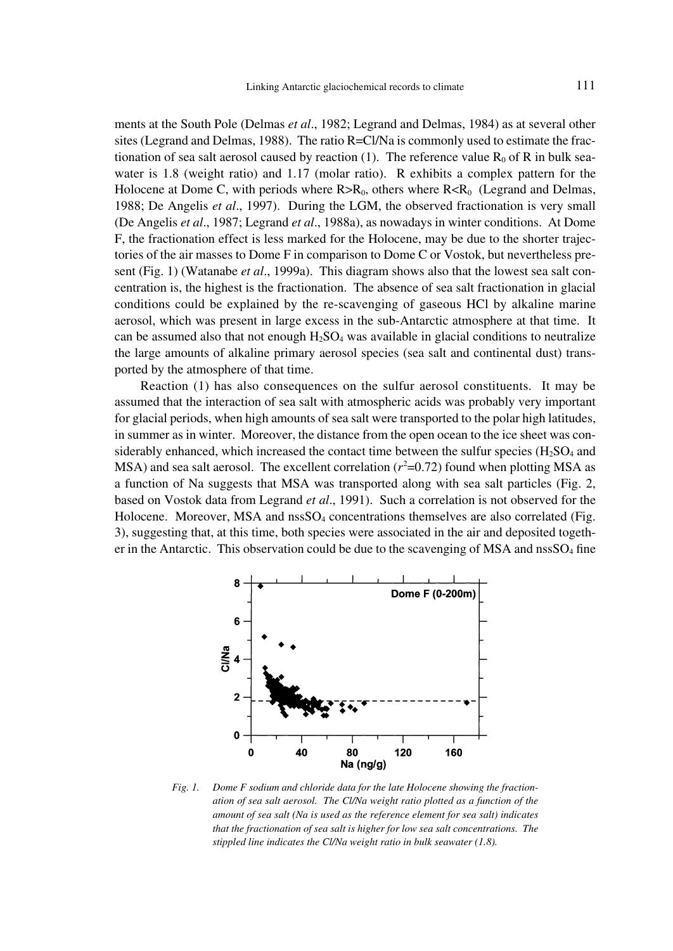ments at the South Pole (Delmas *et al*., 1982; Legrand and Delmas, 1984) as at several other sites (Legrand and Delmas, 1988). The ratio R=Cl/Na is commonly used to estimate the fractionation of sea salt aerosol caused by reaction (1). The reference value  $R_0$  of R in bulk seawater is 1.8 (weight ratio) and 1.17 (molar ratio). R exhibits a complex pattern for the Holocene at Dome C, with periods where  $R > R_0$ , others where  $R < R_0$  (Legrand and Delmas, 1988; De Angelis *et al*., 1997). During the LGM, the observed fractionation is very small (De Angelis *et al*., 1987; Legrand *et al*., 1988a), as nowadays in winter conditions. At Dome F, the fractionation effect is less marked for the Holocene, may be due to the shorter trajectories of the air masses to Dome F in comparison to Dome C or Vostok, but nevertheless present (Fig. 1) (Watanabe *et al*., 1999a). This diagram shows also that the lowest sea salt concentration is, the highest is the fractionation. The absence of sea salt fractionation in glacial conditions could be explained by the re-scavenging of gaseous HCl by alkaline marine aerosol, which was present in large excess in the sub-Antarctic atmosphere at that time. It can be assumed also that not enough  $H_2SO_4$  was available in glacial conditions to neutralize the large amounts of alkaline primary aerosol species (sea salt and continental dust) transported by the atmosphere of that time.

Reaction (1) has also consequences on the sulfur aerosol constituents. It may be assumed that the interaction of sea salt with atmospheric acids was probably very important for glacial periods, when high amounts of sea salt were transported to the polar high latitudes, in summer as in winter. Moreover, the distance from the open ocean to the ice sheet was considerably enhanced, which increased the contact time between the sulfur species ( $H_2SO_4$  and  $MSA$ ) and sea salt aerosol. The excellent correlation ( $r^2$ =0.72) found when plotting MSA as a function of Na suggests that MSA was transported along with sea salt particles (Fig. 2, based on Vostok data from Legrand *et al*., 1991). Such a correlation is not observed for the Holocene. Moreover, MSA and  $nSSO<sub>4</sub>$  concentrations themselves are also correlated (Fig. 3), suggesting that, at this time, both species were associated in the air and deposited together in the Antarctic. This observation could be due to the scavenging of MSA and  $nssSO<sub>4</sub>$  fine



*Fig. 1. Dome F sodium and chloride data for the late Holocene showing the fractionation of sea salt aerosol. The Cl/Na weight ratio plotted as a function of the amount of sea salt (Na is used as the reference element for sea salt) indicates that the fractionation of sea salt is higher for low sea salt concentrations. The stippled line indicates the Cl/Na weight ratio in bulk seawater (1.8).*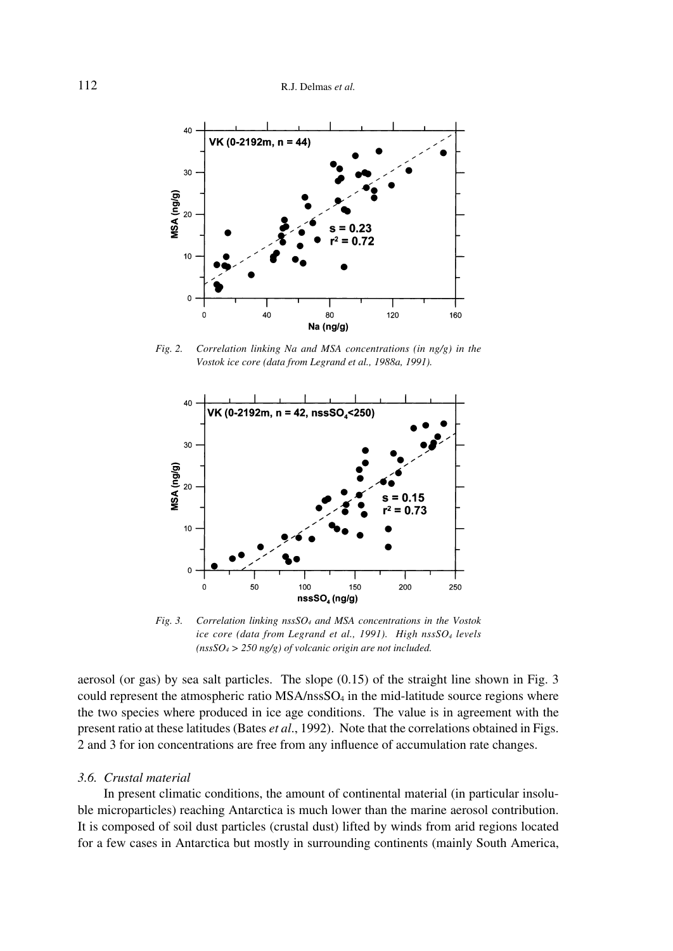

*Fig. 2. Correlation linking Na and MSA concentrations (in ng/g) in the Vostok ice core (data from Legrand et al., 1988a, 1991).*



*Fig. 3. Correlation linking nssSO4 and MSA concentrations in the Vostok ice core (data from Legrand et al., 1991). High nssSO4 levels (nssSO4 > 250 ng/g) of volcanic origin are not included.*

aerosol (or gas) by sea salt particles. The slope (0.15) of the straight line shown in Fig. 3 could represent the atmospheric ratio  $MSA/nsSSO<sub>4</sub>$  in the mid-latitude source regions where the two species where produced in ice age conditions. The value is in agreement with the present ratio at these latitudes (Bates *et al*., 1992). Note that the correlations obtained in Figs. 2 and 3 for ion concentrations are free from any influence of accumulation rate changes.

## *3.6. Crustal material*

In present climatic conditions, the amount of continental material (in particular insoluble microparticles) reaching Antarctica is much lower than the marine aerosol contribution. It is composed of soil dust particles (crustal dust) lifted by winds from arid regions located for a few cases in Antarctica but mostly in surrounding continents (mainly South America,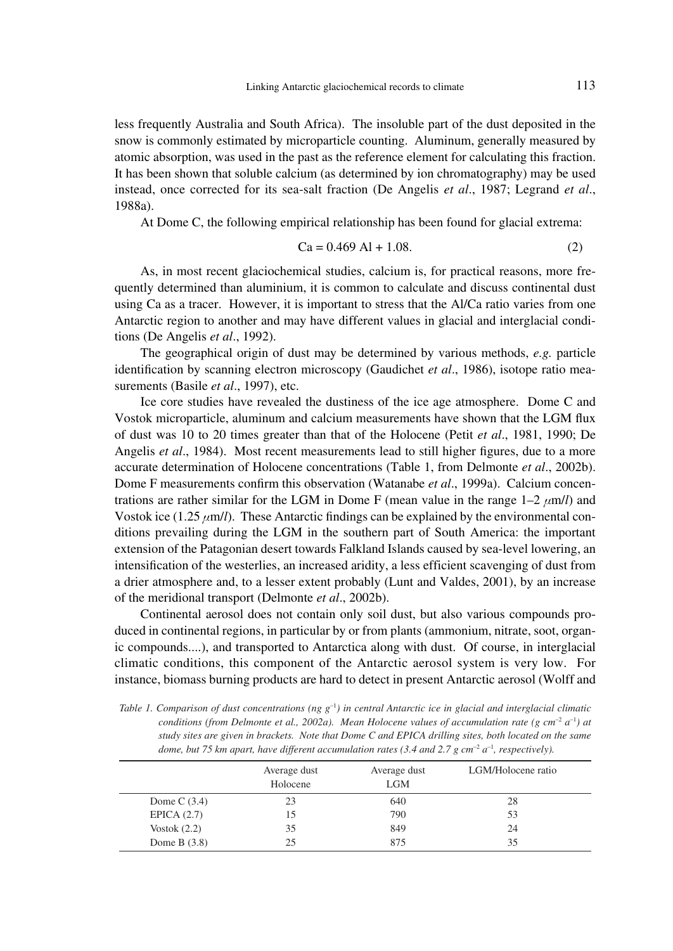less frequently Australia and South Africa). The insoluble part of the dust deposited in the snow is commonly estimated by microparticle counting. Aluminum, generally measured by atomic absorption, was used in the past as the reference element for calculating this fraction. It has been shown that soluble calcium (as determined by ion chromatography) may be used instead, once corrected for its sea-salt fraction (De Angelis *et al*., 1987; Legrand *et al*., 1988a).

At Dome C, the following empirical relationship has been found for glacial extrema:

$$
Ca = 0.469 Al + 1.08.
$$
 (2)

As, in most recent glaciochemical studies, calcium is, for practical reasons, more frequently determined than aluminium, it is common to calculate and discuss continental dust using Ca as a tracer. However, it is important to stress that the Al/Ca ratio varies from one Antarctic region to another and may have different values in glacial and interglacial conditions (De Angelis *et al*., 1992).

The geographical origin of dust may be determined by various methods, *e.g.* particle identification by scanning electron microscopy (Gaudichet *et al*., 1986), isotope ratio measurements (Basile *et al*., 1997), etc.

Ice core studies have revealed the dustiness of the ice age atmosphere. Dome C and Vostok microparticle, aluminum and calcium measurements have shown that the LGM flux of dust was 10 to 20 times greater than that of the Holocene (Petit *et al*., 1981, 1990; De Angelis *et al*., 1984). Most recent measurements lead to still higher figures, due to a more accurate determination of Holocene concentrations (Table 1, from Delmonte *et al*., 2002b). Dome F measurements confirm this observation (Watanabe *et al*., 1999a). Calcium concentrations are rather similar for the LGM in Dome F (mean value in the range  $1-2 \mu m/l$ ) and Vostok ice  $(1.25 \mu m/l)$ . These Antarctic findings can be explained by the environmental conditions prevailing during the LGM in the southern part of South America: the important extension of the Patagonian desert towards Falkland Islands caused by sea-level lowering, an intensification of the westerlies, an increased aridity, a less efficient scavenging of dust from a drier atmosphere and, to a lesser extent probably (Lunt and Valdes, 2001), by an increase of the meridional transport (Delmonte *et al*., 2002b).

Continental aerosol does not contain only soil dust, but also various compounds produced in continental regions, in particular by or from plants (ammonium, nitrate, soot, organic compounds....), and transported to Antarctica along with dust. Of course, in interglacial climatic conditions, this component of the Antarctic aerosol system is very low. For instance, biomass burning products are hard to detect in present Antarctic aerosol (Wolff and

*Table 1. Comparison of dust concentrations* (ng  $g^{-1}$ ) in central Antarctic ice in glacial and interglacial climatic *conditions (from Delmonte et al., 2002a). Mean Holocene values of accumulation rate (g cm<sup>-2</sup>*  $a^{-1}$ *) at study sites are given in brackets. Note that Dome C and EPICA drilling sites, both located on the same*  dome, but 75 km apart, have different accumulation rates (3.4 and 2.7 g cm<sup>-2</sup> a<sup>-1</sup>, respectively).

|                | Average dust<br>Holocene | Average dust<br><b>LGM</b> | LGM/Holocene ratio |
|----------------|--------------------------|----------------------------|--------------------|
| Dome C $(3.4)$ | 23                       | 640                        | 28                 |
| EPICA $(2.7)$  | 15                       | 790                        | 53                 |
| Vostok $(2.2)$ | 35                       | 849                        | 24                 |
| Dome B $(3.8)$ | 25                       | 875                        | 35                 |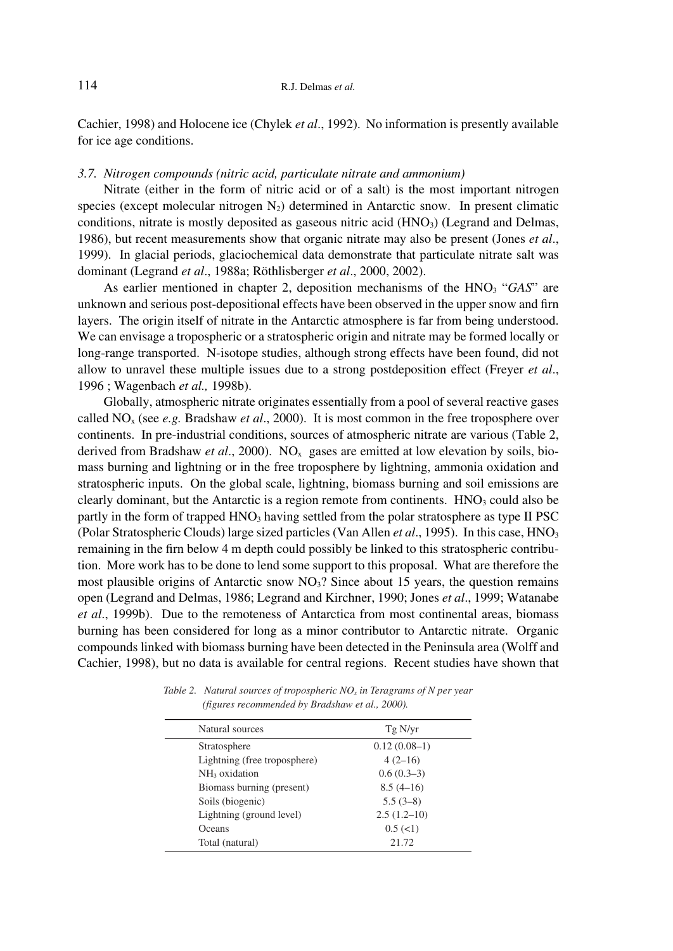Cachier, 1998) and Holocene ice (Chylek *et al*., 1992). No information is presently available for ice age conditions.

## *3.7. Nitrogen compounds (nitric acid, particulate nitrate and ammonium)*

Nitrate (either in the form of nitric acid or of a salt) is the most important nitrogen species (except molecular nitrogen  $N_2$ ) determined in Antarctic snow. In present climatic conditions, nitrate is mostly deposited as gaseous nitric acid (HNO<sub>3</sub>) (Legrand and Delmas, 1986), but recent measurements show that organic nitrate may also be present (Jones *et al*., 1999). In glacial periods, glaciochemical data demonstrate that particulate nitrate salt was dominant (Legrand *et al*., 1988a; Röthlisberger *et al*., 2000, 2002).

As earlier mentioned in chapter 2, deposition mechanisms of the HNO<sub>3</sub> "*GAS*" are unknown and serious post-depositional effects have been observed in the upper snow and firn layers. The origin itself of nitrate in the Antarctic atmosphere is far from being understood. We can envisage a tropospheric or a stratospheric origin and nitrate may be formed locally or long-range transported. N-isotope studies, although strong effects have been found, did not allow to unravel these multiple issues due to a strong postdeposition effect (Freyer *et al*., 1996 ; Wagenbach *et al.,* 1998b).

Globally, atmospheric nitrate originates essentially from a pool of several reactive gases called NOx (see *e.g.* Bradshaw *et al*., 2000). It is most common in the free troposphere over continents. In pre-industrial conditions, sources of atmospheric nitrate are various (Table 2, derived from Bradshaw *et al.*, 2000). NO<sub>x</sub> gases are emitted at low elevation by soils, biomass burning and lightning or in the free troposphere by lightning, ammonia oxidation and stratospheric inputs. On the global scale, lightning, biomass burning and soil emissions are clearly dominant, but the Antarctic is a region remote from continents.  $HNO<sub>3</sub>$  could also be partly in the form of trapped  $HNO<sub>3</sub>$  having settled from the polar stratosphere as type II PSC (Polar Stratospheric Clouds) large sized particles (Van Allen *et al*., 1995). In this case, HNO3 remaining in the firn below 4 m depth could possibly be linked to this stratospheric contribution. More work has to be done to lend some support to this proposal. What are therefore the most plausible origins of Antarctic snow  $NO<sub>3</sub>$ ? Since about 15 years, the question remains open (Legrand and Delmas, 1986; Legrand and Kirchner, 1990; Jones *et al*., 1999; Watanabe *et al*., 1999b). Due to the remoteness of Antarctica from most continental areas, biomass burning has been considered for long as a minor contributor to Antarctic nitrate. Organic compounds linked with biomass burning have been detected in the Peninsula area (Wolff and Cachier, 1998), but no data is available for central regions. Recent studies have shown that

| Natural sources              | Tg N/yr                     |
|------------------------------|-----------------------------|
| Stratosphere                 | $0.12(0.08-1)$              |
| Lightning (free troposphere) | $4(2-16)$                   |
| NH <sub>3</sub> oxidation    | $0.6(0.3-3)$                |
| Biomass burning (present)    | $8.5(4-16)$                 |
| Soils (biogenic)             | $5.5(3-8)$                  |
| Lightning (ground level)     | $2.5(1.2-10)$               |
| Oceans                       | $0.5 \left( \leq 1 \right)$ |
| Total (natural)              | 21.72                       |
|                              |                             |

*Table 2. Natural sources of tropospheric NO<sub>x</sub> in Teragrams of N per year (figures recommended by Bradshaw et al., 2000).*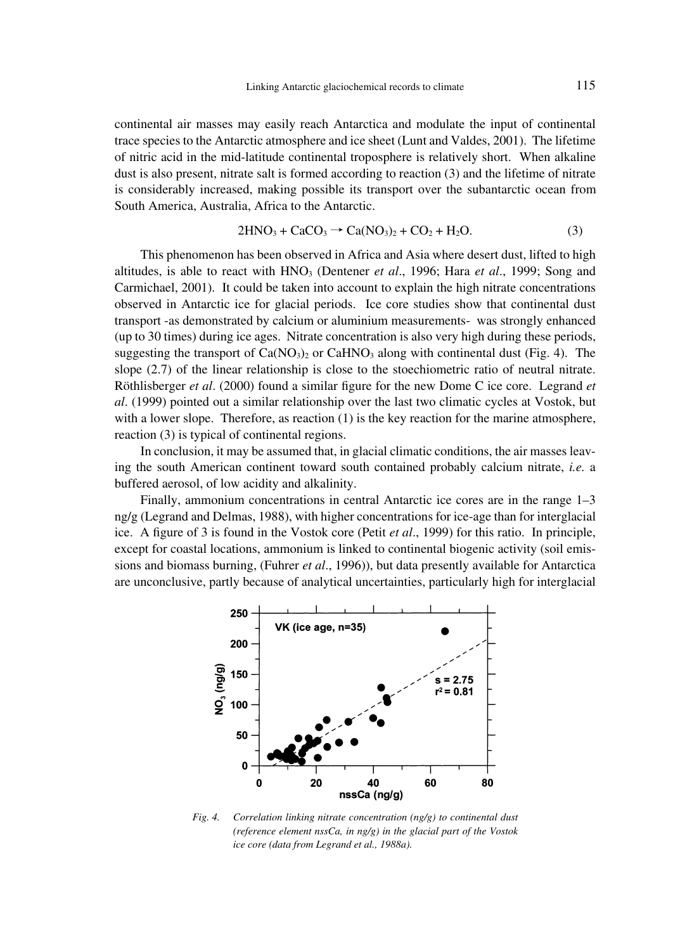continental air masses may easily reach Antarctica and modulate the input of continental trace species to the Antarctic atmosphere and ice sheet (Lunt and Valdes, 2001). The lifetime of nitric acid in the mid-latitude continental troposphere is relatively short. When alkaline dust is also present, nitrate salt is formed according to reaction (3) and the lifetime of nitrate is considerably increased, making possible its transport over the subantarctic ocean from South America, Australia, Africa to the Antarctic.

$$
2HNO3 + CaCO3 \rightarrow Ca(NO3)2 + CO2 + H2O.
$$
 (3)

This phenomenon has been observed in Africa and Asia where desert dust, lifted to high altitudes, is able to react with HNO3 (Dentener *et al*., 1996; Hara *et al*., 1999; Song and Carmichael, 2001). It could be taken into account to explain the high nitrate concentrations observed in Antarctic ice for glacial periods. Ice core studies show that continental dust transport -as demonstrated by calcium or aluminium measurements- was strongly enhanced (up to 30 times) during ice ages. Nitrate concentration is also very high during these periods, suggesting the transport of  $Ca(NO<sub>3</sub>)<sub>2</sub>$  or  $CaHNO<sub>3</sub>$  along with continental dust (Fig. 4). The slope (2.7) of the linear relationship is close to the stoechiometric ratio of neutral nitrate. Röthlisberger *et al*. (2000) found a similar figure for the new Dome C ice core. Legrand *et al*. (1999) pointed out a similar relationship over the last two climatic cycles at Vostok, but with a lower slope. Therefore, as reaction (1) is the key reaction for the marine atmosphere, reaction (3) is typical of continental regions.

In conclusion, it may be assumed that, in glacial climatic conditions, the air masses leaving the south American continent toward south contained probably calcium nitrate, *i.e.* a buffered aerosol, of low acidity and alkalinity.

Finally, ammonium concentrations in central Antarctic ice cores are in the range 1–3 ng/g (Legrand and Delmas, 1988), with higher concentrations for ice-age than for interglacial ice. A figure of 3 is found in the Vostok core (Petit *et al*., 1999) for this ratio. In principle, except for coastal locations, ammonium is linked to continental biogenic activity (soil emissions and biomass burning, (Fuhrer *et al*., 1996)), but data presently available for Antarctica are unconclusive, partly because of analytical uncertainties, particularly high for interglacial



*Fig. 4. Correlation linking nitrate concentration (ng/g) to continental dust (reference element nssCa, in ng/g) in the glacial part of the Vostok ice core (data from Legrand et al., 1988a).*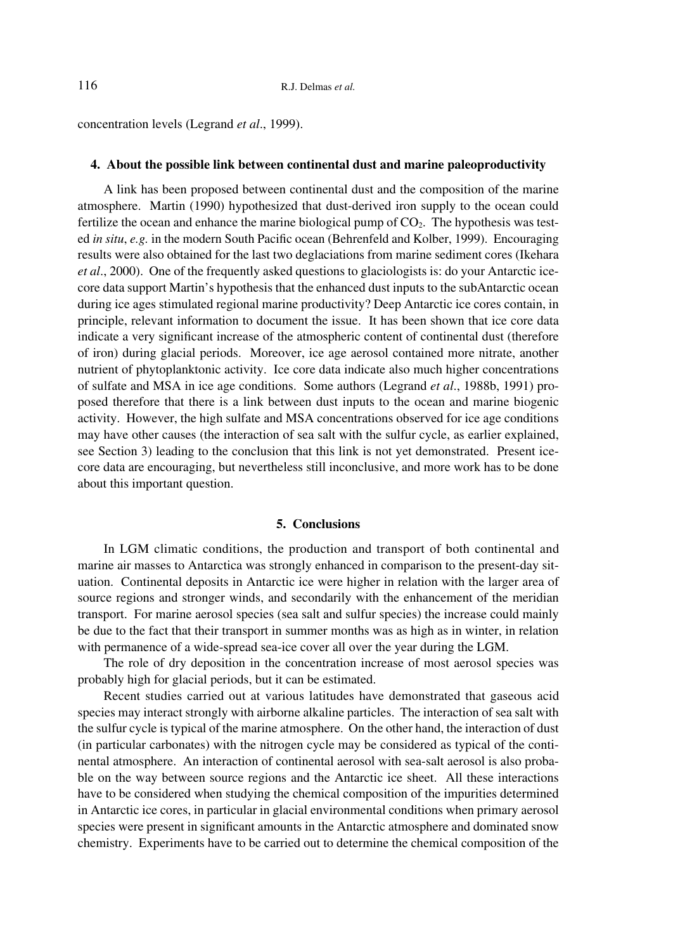concentration levels (Legrand *et al*., 1999).

## **4. About the possible link between continental dust and marine paleoproductivity**

A link has been proposed between continental dust and the composition of the marine atmosphere. Martin (1990) hypothesized that dust-derived iron supply to the ocean could fertilize the ocean and enhance the marine biological pump of  $CO<sub>2</sub>$ . The hypothesis was tested *in situ*, *e.g.* in the modern South Pacific ocean (Behrenfeld and Kolber, 1999). Encouraging results were also obtained for the last two deglaciations from marine sediment cores (Ikehara *et al*., 2000). One of the frequently asked questions to glaciologists is: do your Antarctic icecore data support Martin's hypothesis that the enhanced dust inputs to the subAntarctic ocean during ice ages stimulated regional marine productivity? Deep Antarctic ice cores contain, in principle, relevant information to document the issue. It has been shown that ice core data indicate a very significant increase of the atmospheric content of continental dust (therefore of iron) during glacial periods. Moreover, ice age aerosol contained more nitrate, another nutrient of phytoplanktonic activity. Ice core data indicate also much higher concentrations of sulfate and MSA in ice age conditions. Some authors (Legrand *et al*., 1988b, 1991) proposed therefore that there is a link between dust inputs to the ocean and marine biogenic activity. However, the high sulfate and MSA concentrations observed for ice age conditions may have other causes (the interaction of sea salt with the sulfur cycle, as earlier explained, see Section 3) leading to the conclusion that this link is not yet demonstrated. Present icecore data are encouraging, but nevertheless still inconclusive, and more work has to be done about this important question.

#### **5. Conclusions**

In LGM climatic conditions, the production and transport of both continental and marine air masses to Antarctica was strongly enhanced in comparison to the present-day situation. Continental deposits in Antarctic ice were higher in relation with the larger area of source regions and stronger winds, and secondarily with the enhancement of the meridian transport. For marine aerosol species (sea salt and sulfur species) the increase could mainly be due to the fact that their transport in summer months was as high as in winter, in relation with permanence of a wide-spread sea-ice cover all over the year during the LGM.

The role of dry deposition in the concentration increase of most aerosol species was probably high for glacial periods, but it can be estimated.

Recent studies carried out at various latitudes have demonstrated that gaseous acid species may interact strongly with airborne alkaline particles. The interaction of sea salt with the sulfur cycle is typical of the marine atmosphere. On the other hand, the interaction of dust (in particular carbonates) with the nitrogen cycle may be considered as typical of the continental atmosphere. An interaction of continental aerosol with sea-salt aerosol is also probable on the way between source regions and the Antarctic ice sheet. All these interactions have to be considered when studying the chemical composition of the impurities determined in Antarctic ice cores, in particular in glacial environmental conditions when primary aerosol species were present in significant amounts in the Antarctic atmosphere and dominated snow chemistry. Experiments have to be carried out to determine the chemical composition of the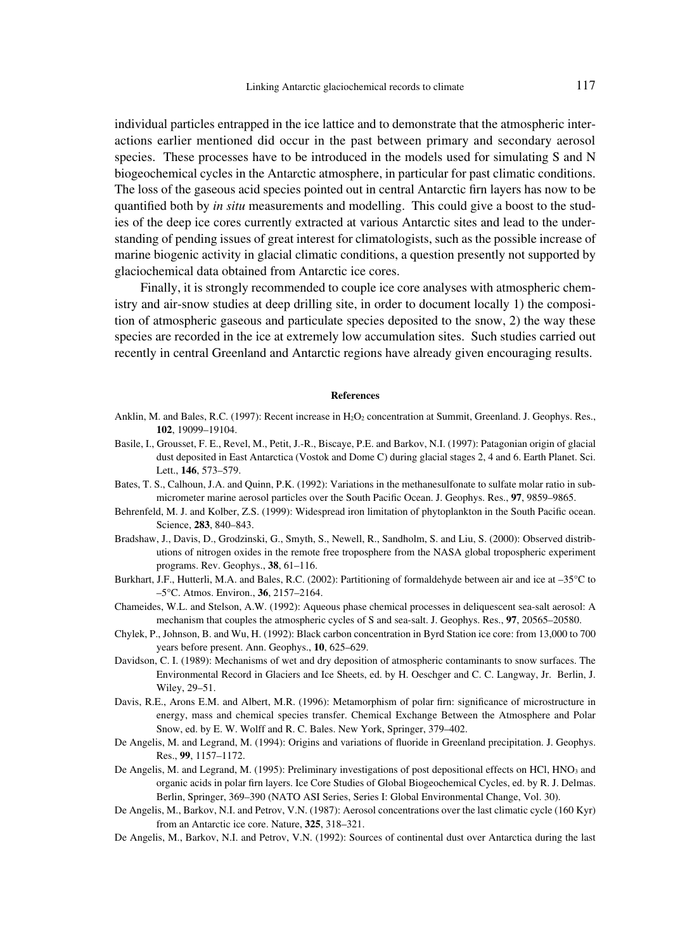individual particles entrapped in the ice lattice and to demonstrate that the atmospheric interactions earlier mentioned did occur in the past between primary and secondary aerosol species. These processes have to be introduced in the models used for simulating S and N biogeochemical cycles in the Antarctic atmosphere, in particular for past climatic conditions. The loss of the gaseous acid species pointed out in central Antarctic firn layers has now to be quantified both by *in situ* measurements and modelling. This could give a boost to the studies of the deep ice cores currently extracted at various Antarctic sites and lead to the understanding of pending issues of great interest for climatologists, such as the possible increase of marine biogenic activity in glacial climatic conditions, a question presently not supported by glaciochemical data obtained from Antarctic ice cores.

Finally, it is strongly recommended to couple ice core analyses with atmospheric chemistry and air-snow studies at deep drilling site, in order to document locally 1) the composition of atmospheric gaseous and particulate species deposited to the snow, 2) the way these species are recorded in the ice at extremely low accumulation sites. Such studies carried out recently in central Greenland and Antarctic regions have already given encouraging results.

#### **References**

- Anklin, M. and Bales, R.C. (1997): Recent increase in H<sub>2</sub>O<sub>2</sub> concentration at Summit, Greenland. J. Geophys. Res., **102**, 19099–19104.
- Basile, I., Grousset, F. E., Revel, M., Petit, J.-R., Biscaye, P.E. and Barkov, N.I. (1997): Patagonian origin of glacial dust deposited in East Antarctica (Vostok and Dome C) during glacial stages 2, 4 and 6. Earth Planet. Sci. Lett., **146**, 573–579.
- Bates, T. S., Calhoun, J.A. and Quinn, P.K. (1992): Variations in the methanesulfonate to sulfate molar ratio in submicrometer marine aerosol particles over the South Pacific Ocean. J. Geophys. Res., **97**, 9859–9865.
- Behrenfeld, M. J. and Kolber, Z.S. (1999): Widespread iron limitation of phytoplankton in the South Pacific ocean. Science, **283**, 840–843.
- Bradshaw, J., Davis, D., Grodzinski, G., Smyth, S., Newell, R., Sandholm, S. and Liu, S. (2000): Observed distributions of nitrogen oxides in the remote free troposphere from the NASA global tropospheric experiment programs. Rev. Geophys., **38**, 61–116.
- Burkhart, J.F., Hutterli, M.A. and Bales, R.C. (2002): Partitioning of formaldehyde between air and ice at –35°C to –5°C. Atmos. Environ., **36**, 2157–2164.
- Chameides, W.L. and Stelson, A.W. (1992): Aqueous phase chemical processes in deliquescent sea-salt aerosol: A mechanism that couples the atmospheric cycles of S and sea-salt. J. Geophys. Res., **97**, 20565–20580.
- Chylek, P., Johnson, B. and Wu, H. (1992): Black carbon concentration in Byrd Station ice core: from 13,000 to 700 years before present. Ann. Geophys., **10**, 625–629.
- Davidson, C. I. (1989): Mechanisms of wet and dry deposition of atmospheric contaminants to snow surfaces. The Environmental Record in Glaciers and Ice Sheets, ed. by H. Oeschger and C. C. Langway, Jr. Berlin, J. Wiley, 29–51.
- Davis, R.E., Arons E.M. and Albert, M.R. (1996): Metamorphism of polar firn: significance of microstructure in energy, mass and chemical species transfer. Chemical Exchange Between the Atmosphere and Polar Snow, ed. by E. W. Wolff and R. C. Bales. New York, Springer, 379–402.
- De Angelis, M. and Legrand, M. (1994): Origins and variations of fluoride in Greenland precipitation. J. Geophys. Res., **99**, 1157–1172.
- De Angelis, M. and Legrand, M. (1995): Preliminary investigations of post depositional effects on HCl, HNO<sub>3</sub> and organic acids in polar firn layers. Ice Core Studies of Global Biogeochemical Cycles, ed. by R. J. Delmas. Berlin, Springer, 369–390 (NATO ASI Series, Series I: Global Environmental Change, Vol. 30).
- De Angelis, M., Barkov, N.I. and Petrov, V.N. (1987): Aerosol concentrations over the last climatic cycle (160 Kyr) from an Antarctic ice core. Nature, **325**, 318–321.
- De Angelis, M., Barkov, N.I. and Petrov, V.N. (1992): Sources of continental dust over Antarctica during the last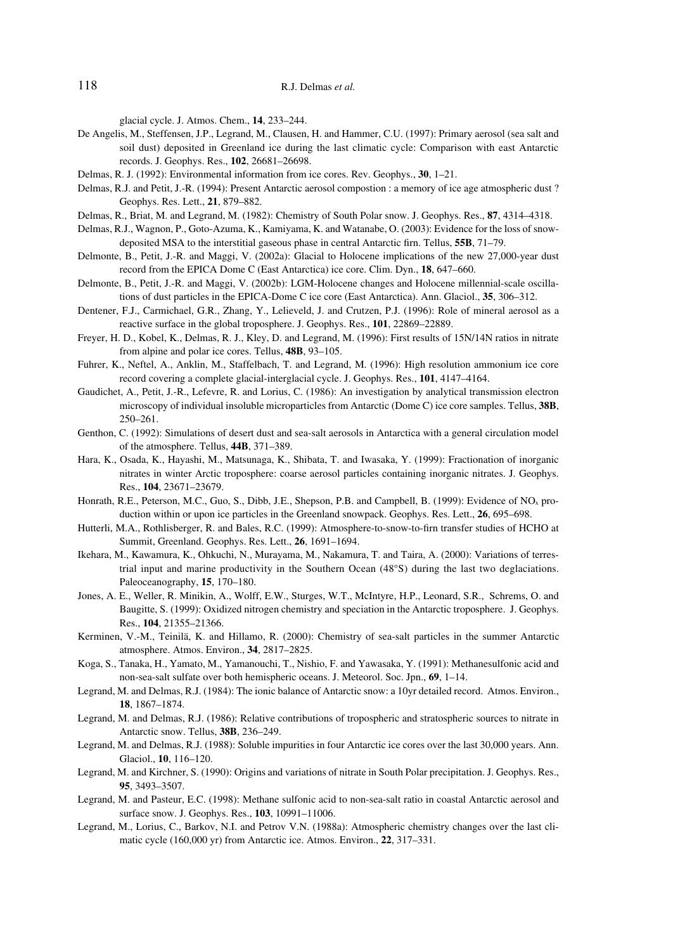glacial cycle. J. Atmos. Chem., **14**, 233–244.

- De Angelis, M., Steffensen, J.P., Legrand, M., Clausen, H. and Hammer, C.U. (1997): Primary aerosol (sea salt and soil dust) deposited in Greenland ice during the last climatic cycle: Comparison with east Antarctic records. J. Geophys. Res., **102**, 26681–26698.
- Delmas, R. J. (1992): Environmental information from ice cores. Rev. Geophys., **30**, 1–21.
- Delmas, R.J. and Petit, J.-R. (1994): Present Antarctic aerosol compostion : a memory of ice age atmospheric dust ? Geophys. Res. Lett., **21**, 879–882.
- Delmas, R., Briat, M. and Legrand, M. (1982): Chemistry of South Polar snow. J. Geophys. Res., **87**, 4314–4318.
- Delmas, R.J., Wagnon, P., Goto-Azuma, K., Kamiyama, K. and Watanabe, O. (2003): Evidence for the loss of snowdeposited MSA to the interstitial gaseous phase in central Antarctic firn. Tellus, **55B**, 71–79.
- Delmonte, B., Petit, J.-R. and Maggi, V. (2002a): Glacial to Holocene implications of the new 27,000-year dust record from the EPICA Dome C (East Antarctica) ice core. Clim. Dyn., **18**, 647–660.
- Delmonte, B., Petit, J.-R. and Maggi, V. (2002b): LGM-Holocene changes and Holocene millennial-scale oscillations of dust particles in the EPICA-Dome C ice core (East Antarctica). Ann. Glaciol., **35**, 306–312.
- Dentener, F.J., Carmichael, G.R., Zhang, Y., Lelieveld, J. and Crutzen, P.J. (1996): Role of mineral aerosol as a reactive surface in the global troposphere. J. Geophys. Res., **101**, 22869–22889.
- Freyer, H. D., Kobel, K., Delmas, R. J., Kley, D. and Legrand, M. (1996): First results of 15N/14N ratios in nitrate from alpine and polar ice cores. Tellus, **48B**, 93–105.
- Fuhrer, K., Neftel, A., Anklin, M., Staffelbach, T. and Legrand, M. (1996): High resolution ammonium ice core record covering a complete glacial-interglacial cycle. J. Geophys. Res., **101**, 4147–4164.
- Gaudichet, A., Petit, J.-R., Lefevre, R. and Lorius, C. (1986): An investigation by analytical transmission electron microscopy of individual insoluble microparticles from Antarctic (Dome C) ice core samples. Tellus, **38B**, 250–261.
- Genthon, C. (1992): Simulations of desert dust and sea-salt aerosols in Antarctica with a general circulation model of the atmosphere. Tellus, **44B**, 371–389.
- Hara, K., Osada, K., Hayashi, M., Matsunaga, K., Shibata, T. and Iwasaka, Y. (1999): Fractionation of inorganic nitrates in winter Arctic troposphere: coarse aerosol particles containing inorganic nitrates. J. Geophys. Res., **104**, 23671–23679.
- Honrath, R.E., Peterson, M.C., Guo, S., Dibb, J.E., Shepson, P.B. and Campbell, B. (1999): Evidence of NOx production within or upon ice particles in the Greenland snowpack. Geophys. Res. Lett., **26**, 695–698.
- Hutterli, M.A., Rothlisberger, R. and Bales, R.C. (1999): Atmosphere-to-snow-to-firn transfer studies of HCHO at Summit, Greenland. Geophys. Res. Lett., **26**, 1691–1694.
- Ikehara, M., Kawamura, K., Ohkuchi, N., Murayama, M., Nakamura, T. and Taira, A. (2000): Variations of terrestrial input and marine productivity in the Southern Ocean (48°S) during the last two deglaciations. Paleoceanography, **15**, 170–180.
- Jones, A. E., Weller, R. Minikin, A., Wolff, E.W., Sturges, W.T., McIntyre, H.P., Leonard, S.R., Schrems, O. and Baugitte, S. (1999): Oxidized nitrogen chemistry and speciation in the Antarctic troposphere. J. Geophys. Res., **104**, 21355–21366.
- Kerminen, V.-M., Teinilä, K. and Hillamo, R. (2000): Chemistry of sea-salt particles in the summer Antarctic atmosphere. Atmos. Environ., **34**, 2817–2825.
- Koga, S., Tanaka, H., Yamato, M., Yamanouchi, T., Nishio, F. and Yawasaka, Y. (1991): Methanesulfonic acid and non-sea-salt sulfate over both hemispheric oceans. J. Meteorol. Soc. Jpn., **69**, 1–14.
- Legrand, M. and Delmas, R.J. (1984): The ionic balance of Antarctic snow: a 10yr detailed record. Atmos. Environ., **18**, 1867–1874.
- Legrand, M. and Delmas, R.J. (1986): Relative contributions of tropospheric and stratospheric sources to nitrate in Antarctic snow. Tellus, **38B**, 236–249.
- Legrand, M. and Delmas, R.J. (1988): Soluble impurities in four Antarctic ice cores over the last 30,000 years. Ann. Glaciol., **10**, 116–120.
- Legrand, M. and Kirchner, S. (1990): Origins and variations of nitrate in South Polar precipitation. J. Geophys. Res., **95**, 3493–3507.
- Legrand, M. and Pasteur, E.C. (1998): Methane sulfonic acid to non-sea-salt ratio in coastal Antarctic aerosol and surface snow. J. Geophys. Res., **103**, 10991–11006.
- Legrand, M., Lorius, C., Barkov, N.I. and Petrov V.N. (1988a): Atmospheric chemistry changes over the last climatic cycle (160,000 yr) from Antarctic ice. Atmos. Environ., **22**, 317–331.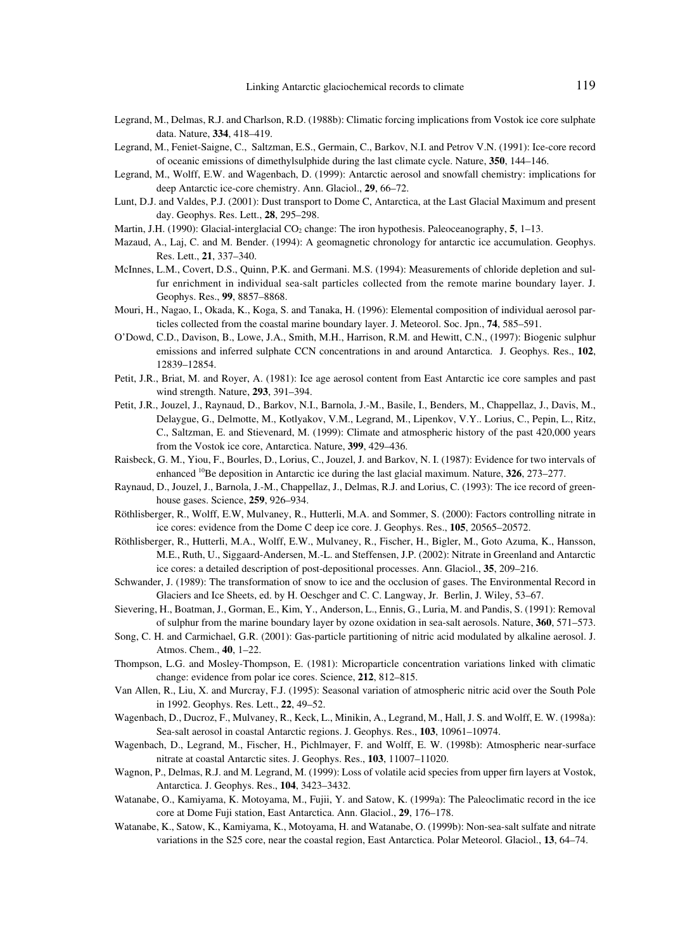- Legrand, M., Delmas, R.J. and Charlson, R.D. (1988b): Climatic forcing implications from Vostok ice core sulphate data. Nature, **334**, 418–419.
- Legrand, M., Feniet-Saigne, C., Saltzman, E.S., Germain, C., Barkov, N.I. and Petrov V.N. (1991): Ice-core record of oceanic emissions of dimethylsulphide during the last climate cycle. Nature, **350**, 144–146.
- Legrand, M., Wolff, E.W. and Wagenbach, D. (1999): Antarctic aerosol and snowfall chemistry: implications for deep Antarctic ice-core chemistry. Ann. Glaciol., **29**, 66–72.
- Lunt, D.J. and Valdes, P.J. (2001): Dust transport to Dome C, Antarctica, at the Last Glacial Maximum and present day. Geophys. Res. Lett., **28**, 295–298.
- Martin, J.H. (1990): Glacial-interglacial CO<sub>2</sub> change: The iron hypothesis. Paleoceanography, **5**, 1–13.
- Mazaud, A., Laj, C. and M. Bender. (1994): A geomagnetic chronology for antarctic ice accumulation. Geophys. Res. Lett., **21**, 337–340.
- McInnes, L.M., Covert, D.S., Quinn, P.K. and Germani. M.S. (1994): Measurements of chloride depletion and sulfur enrichment in individual sea-salt particles collected from the remote marine boundary layer. J. Geophys. Res., **99**, 8857–8868.
- Mouri, H., Nagao, I., Okada, K., Koga, S. and Tanaka, H. (1996): Elemental composition of individual aerosol particles collected from the coastal marine boundary layer. J. Meteorol. Soc. Jpn., **74**, 585–591.
- O'Dowd, C.D., Davison, B., Lowe, J.A., Smith, M.H., Harrison, R.M. and Hewitt, C.N., (1997): Biogenic sulphur emissions and inferred sulphate CCN concentrations in and around Antarctica. J. Geophys. Res., **102**, 12839–12854.
- Petit, J.R., Briat, M. and Royer, A. (1981): Ice age aerosol content from East Antarctic ice core samples and past wind strength. Nature, **293**, 391–394.
- Petit, J.R., Jouzel, J., Raynaud, D., Barkov, N.I., Barnola, J.-M., Basile, I., Benders, M., Chappellaz, J., Davis, M., Delaygue, G., Delmotte, M., Kotlyakov, V.M., Legrand, M., Lipenkov, V.Y.. Lorius, C., Pepin, L., Ritz, C., Saltzman, E. and Stievenard, M. (1999): Climate and atmospheric history of the past 420,000 years from the Vostok ice core, Antarctica. Nature, **399**, 429–436.
- Raisbeck, G. M., Yiou, F., Bourles, D., Lorius, C., Jouzel, J. and Barkov, N. I. (1987): Evidence for two intervals of enhanced 10Be deposition in Antarctic ice during the last glacial maximum. Nature, **326**, 273–277.
- Raynaud, D., Jouzel, J., Barnola, J.-M., Chappellaz, J., Delmas, R.J. and Lorius, C. (1993): The ice record of greenhouse gases. Science, **259**, 926–934.
- Röthlisberger, R., Wolff, E.W, Mulvaney, R., Hutterli, M.A. and Sommer, S. (2000): Factors controlling nitrate in ice cores: evidence from the Dome C deep ice core. J. Geophys. Res., **105**, 20565–20572.
- Röthlisberger, R., Hutterli, M.A., Wolff, E.W., Mulvaney, R., Fischer, H., Bigler, M., Goto Azuma, K., Hansson, M.E., Ruth, U., Siggaard-Andersen, M.-L. and Steffensen, J.P. (2002): Nitrate in Greenland and Antarctic ice cores: a detailed description of post-depositional processes. Ann. Glaciol., **35**, 209–216.
- Schwander, J. (1989): The transformation of snow to ice and the occlusion of gases. The Environmental Record in Glaciers and Ice Sheets, ed. by H. Oeschger and C. C. Langway, Jr. Berlin, J. Wiley, 53–67.
- Sievering, H., Boatman, J., Gorman, E., Kim, Y., Anderson, L., Ennis, G., Luria, M. and Pandis, S. (1991): Removal of sulphur from the marine boundary layer by ozone oxidation in sea-salt aerosols. Nature, **360**, 571–573.
- Song, C. H. and Carmichael, G.R. (2001): Gas-particle partitioning of nitric acid modulated by alkaline aerosol. J. Atmos. Chem., **40**, 1–22.
- Thompson, L.G. and Mosley-Thompson, E. (1981): Microparticle concentration variations linked with climatic change: evidence from polar ice cores. Science, **212**, 812–815.
- Van Allen, R., Liu, X. and Murcray, F.J. (1995): Seasonal variation of atmospheric nitric acid over the South Pole in 1992. Geophys. Res. Lett., **22**, 49–52.
- Wagenbach, D., Ducroz, F., Mulvaney, R., Keck, L., Minikin, A., Legrand, M., Hall, J. S. and Wolff, E. W. (1998a): Sea-salt aerosol in coastal Antarctic regions. J. Geophys. Res., **103**, 10961–10974.
- Wagenbach, D., Legrand, M., Fischer, H., Pichlmayer, F. and Wolff, E. W. (1998b): Atmospheric near-surface nitrate at coastal Antarctic sites. J. Geophys. Res., **103**, 11007–11020.
- Wagnon, P., Delmas, R.J. and M. Legrand, M. (1999): Loss of volatile acid species from upper firn layers at Vostok, Antarctica. J. Geophys. Res., **104**, 3423–3432.
- Watanabe, O., Kamiyama, K. Motoyama, M., Fujii, Y. and Satow, K. (1999a): The Paleoclimatic record in the ice core at Dome Fuji station, East Antarctica. Ann. Glaciol., **29**, 176–178.
- Watanabe, K., Satow, K., Kamiyama, K., Motoyama, H. and Watanabe, O. (1999b): Non-sea-salt sulfate and nitrate variations in the S25 core, near the coastal region, East Antarctica. Polar Meteorol. Glaciol., **13**, 64–74.